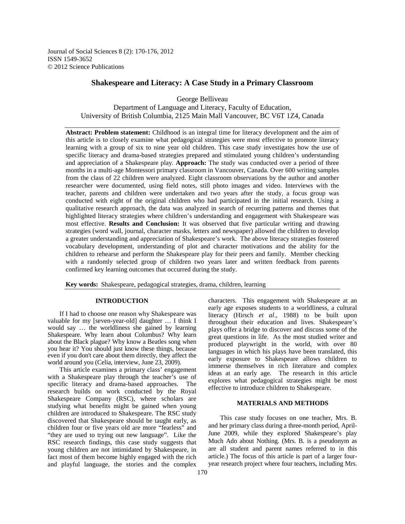Journal of Social Sciences 8 (2): 170-176, 2012 ISSN 1549-3652 © 2012 Science Publications

## **Shakespeare and Literacy: A Case Study in a Primary Classroom**

George Belliveau Department of Language and Literacy, Faculty of Education, University of British Columbia, 2125 Main Mall Vancouver, BC V6T 1Z4, Canada

**Abstract: Problem statement:** Childhood is an integral time for literacy development and the aim of this article is to closely examine what pedagogical strategies were most effective to promote literacy learning with a group of six to nine year old children. This case study investigates how the use of specific literacy and drama-based strategies prepared and stimulated young children's understanding and appreciation of a Shakespeare play. **Approach:** The study was conducted over a period of three months in a multi-age Montessori primary classroom in Vancouver, Canada. Over 600 writing samples from the class of 22 children were analyzed. Eight classroom observations by the author and another researcher were documented, using field notes, still photo images and video. Interviews with the teacher, parents and children were undertaken and two years after the study, a focus group was conducted with eight of the original children who had participated in the initial research. Using a qualitative research approach, the data was analyzed in search of recurring patterns and themes that highlighted literacy strategies where children's understanding and engagement with Shakespeare was most effective. **Results and Conclusion:** It was observed that five particular writing and drawing strategies (word wall, journal, character masks, letters and newspaper) allowed the children to develop a greater understanding and appreciation of Shakespeare's work. The above literacy strategies fostered vocabulary development, understanding of plot and character motivations and the ability for the children to rehearse and perform the Shakespeare play for their peers and family. Member checking with a randomly selected group of children two years later and written feedback from parents confirmed key learning outcomes that occurred during the study.

**Key words:** Shakespeare, pedagogical strategies, drama, children, learning

#### **INTRODUCTION**

 If I had to choose one reason why Shakespeare was valuable for my [seven-year-old] daughter … I think I would say … the worldliness she gained by learning Shakespeare. Why learn about Columbus? Why learn about the Black plague? Why know a Beatles song when you hear it? You should just know these things, because even if you don't care about them directly, they affect the world around you (Celia, interview, June 23, 2009).

 This article examines a primary class' engagement with a Shakespeare play through the teacher's use of specific literacy and drama-based approaches. The research builds on work conducted by the Royal Shakespeare Company (RSC), where scholars are studying what benefits might be gained when young children are introduced to Shakespeare. The RSC study discovered that Shakespeare should be taught early, as children four or five years old are more "fearless" and "they are used to trying out new language". Like the RSC research findings, this case study suggests that young children are not intimidated by Shakespeare, in fact most of them become highly engaged with the rich and playful language, the stories and the complex

explores what pedagogical strategies might be most effective to introduce children to Shakespeare. **MATERIALS AND METHODS**  This case study focuses on one teacher, Mrs. B. and her primary class during a three-month period, April-June 2009, while they explored Shakespeare's play

Much Ado about Nothing. (Mrs. B. is a pseudonym as are all student and parent names referred to in this article.) The focus of this article is part of a larger fouryear research project where four teachers, including Mrs.

characters. This engagement with Shakespeare at an early age exposes students to a worldliness, a cultural literacy (Hirsch *et al*., 1988) to be built upon throughout their education and lives. Shakespeare's plays offer a bridge to discover and discuss some of the great questions in life. As the most studied writer and produced playwright in the world, with over 80 languages in which his plays have been translated, this early exposure to Shakespeare allows children to immerse themselves in rich literature and complex ideas at an early age. The research in this article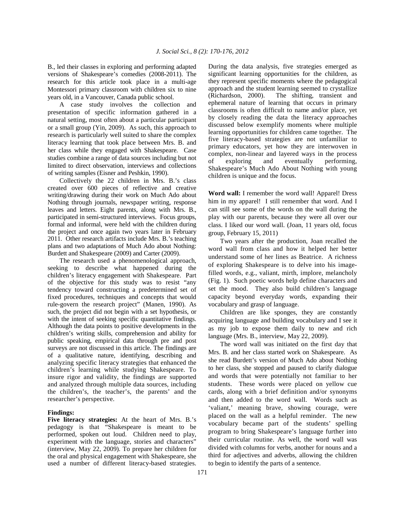B., led their classes in exploring and performing adapted versions of Shakespeare's comedies (2008-2011). The research for this article took place in a multi-age Montessori primary classroom with children six to nine years old, in a Vancouver, Canada public school.

 A case study involves the collection and presentation of specific information gathered in a natural setting, most often about a particular participant or a small group (Yin, 2009). As such, this approach to research is particularly well suited to share the complex literacy learning that took place between Mrs. B. and her class while they engaged with Shakespeare. Case studies combine a range of data sources including but not limited to direct observation, interviews and collections of writing samples (Eisner and Peshkin, 1990).

 Collectively the 22 children in Mrs. B.'s class created over 600 pieces of reflective and creative writing/drawing during their work on Much Ado about Nothing through journals, newspaper writing, response leaves and letters. Eight parents, along with Mrs. B., participated in semi-structured interviews. Focus groups, formal and informal, were held with the children during the project and once again two years later in February 2011. Other research artifacts include Mrs. B.'s teaching plans and two adaptations of Much Ado about Nothing: Burdett and Shakespeare (2009) and Carter (2009).

 The research used a phenomenological approach, seeking to describe what happened during the children's literacy engagement with Shakespeare. Part of the objective for this study was to resist "any tendency toward constructing a predetermined set of fixed procedures, techniques and concepts that would rule-govern the research project" (Manen, 1990). As such, the project did not begin with a set hypothesis, or with the intent of seeking specific quantitative findings. Although the data points to positive developments in the children's writing skills, comprehension and ability for public speaking, empirical data through pre and post surveys are not discussed in this article. The findings are of a qualitative nature, identifying, describing and analyzing specific literacy strategies that enhanced the children's learning while studying Shakespeare. To insure rigor and validity, the findings are supported and analyzed through multiple data sources, including the children's, the teacher's, the parents' and the researcher's perspective.

#### **Findings:**

**Five literacy strategies:** At the heart of Mrs. B.'s pedagogy is that "Shakespeare is meant to be performed, spoken out loud. Children need to play, experiment with the language, stories and characters" (interview, May 22, 2009). To prepare her children for the oral and physical engagement with Shakespeare, she used a number of different literacy-based strategies. During the data analysis, five strategies emerged as significant learning opportunities for the children, as they represent specific moments where the pedagogical approach and the student learning seemed to crystallize (Richardson, 2000). The shifting, transient and ephemeral nature of learning that occurs in primary classrooms is often difficult to name and/or place, yet by closely reading the data the literacy approaches discussed below exemplify moments where multiple learning opportunities for children came together. The five literacy-based strategies are not unfamiliar to primary educators, yet how they are interwoven in complex, non-linear and layered ways in the process of exploring and eventually performing, Shakespeare's Much Ado About Nothing with young children is unique and the focus.

**Word wall:** I remember the word wall! Apparel! Dress him in my apparel! I still remember that word. And I can still see some of the words on the wall during the play with our parents, because they were all over our class. I liked our word wall. (Joan, 11 years old, focus group, February 15, 2011)

 Two years after the production, Joan recalled the word wall from class and how it helped her better understand some of her lines as Beatrice. A richness of exploring Shakespeare is to delve into his imagefilled words, e.g., valiant, mirth, implore, melancholy (Fig. 1). Such poetic words help define characters and set the mood. They also build children's language capacity beyond everyday words, expanding their vocabulary and grasp of language.

 Children are like sponges, they are constantly acquiring language and building vocabulary and I see it as my job to expose them daily to new and rich language (Mrs. B., interview, May 22, 2009).

 The word wall was initiated on the first day that Mrs. B. and her class started work on Shakespeare. As she read Burdett's version of Much Ado about Nothing to her class, she stopped and paused to clarify dialogue and words that were potentially not familiar to her students. These words were placed on yellow cue cards, along with a brief definition and/or synonyms and then added to the word wall. Words such as 'valiant,' meaning brave, showing courage, were placed on the wall as a helpful reminder. The new vocabulary became part of the students' spelling program to bring Shakespeare's language further into their curricular routine. As well, the word wall was divided with columns for verbs, another for nouns and a third for adjectives and adverbs, allowing the children to begin to identify the parts of a sentence.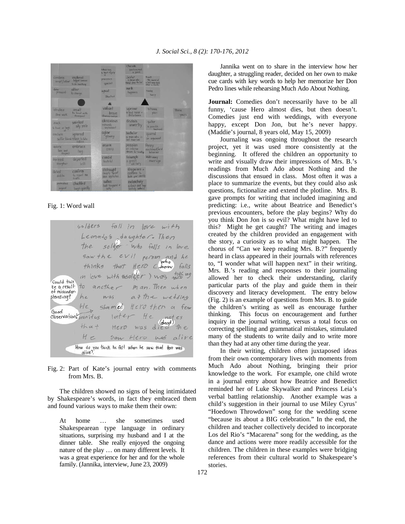

Fig. 1: Word wall

|                                                        | golders fall in love with                                                                       |
|--------------------------------------------------------|-------------------------------------------------------------------------------------------------|
| Could this<br>be a result<br>of misunder-<br>standing? | $L$ conato's daughter. Then                                                                     |
|                                                        | the solder who falls in love                                                                    |
|                                                        |                                                                                                 |
|                                                        | saw the cvil person and he<br>thinks that Hero Chow falls                                       |
|                                                        | in love with theologier) was fully mg                                                           |
|                                                        | to another man. Then when                                                                       |
|                                                        | he was at the wedding                                                                           |
|                                                        |                                                                                                 |
|                                                        |                                                                                                 |
|                                                        | Good He shamed Hero then a few<br>observation minitus lotter He notes<br>that Hero was died the |
|                                                        | Sam Hero was alive<br>H <sub>c</sub>                                                            |
|                                                        | How do you think he felt when he saw that flero was<br>alive?                                   |

Fig. 2: Part of Kate's journal entry with comments from Mrs. B.

 The children showed no signs of being intimidated by Shakespeare's words, in fact they embraced them and found various ways to make them their own:

At home … she sometimes used Shakespearean type language in ordinary situations, surprising my husband and I at the dinner table. She really enjoyed the ongoing nature of the play … on many different levels. It was a great experience for her and for the whole family. (Jannika, interview, June 23, 2009)

 Jannika went on to share in the interview how her daughter, a struggling reader, decided on her own to make cue cards with key words to help her memorize her Don Pedro lines while rehearsing Much Ado About Nothing.

**Journal:** Comedies don't necessarily have to be all funny, 'cause Hero almost dies, but then doesn't. Comedies just end with weddings, with everyone happy, except Don Jon, but he's never happy. (Maddie's journal, 8 years old, May 15, 2009)

 Journaling was ongoing throughout the research project, yet it was used more consistently at the beginning. It offered the children an opportunity to write and visually draw their impressions of Mrs. B.'s readings from Much Ado about Nothing and the discussions that ensued in class. Most often it was a place to summarize the events, but they could also ask questions, fictionalize and extend the plotline. Mrs. B. gave prompts for writing that included imagining and predicting: i.e., write about Beatrice and Benedict's previous encounters, before the play begins? Why do you think Don Jon is so evil? What might have led to this? Might he get caught? The writing and images created by the children provided an engagement with the story, a curiosity as to what might happen. The chorus of "Can we keep reading Mrs. B.?" frequently heard in class appeared in their journals with references to, "I wonder what will happen next" in their writing. Mrs. B.'s reading and responses to their journaling allowed her to check their understanding, clarify particular parts of the play and guide them in their discovery and literacy development. The entry below (Fig. 2) is an example of questions from Mrs. B. to guide the children's writing as well as encourage further thinking. This focus on encouragement and further inquiry in the journal writing, versus a total focus on correcting spelling and grammatical mistakes, stimulated many of the students to write daily and to write more than they had at any other time during the year.

 In their writing, children often juxtaposed ideas from their own contemporary lives with moments from Much Ado about Nothing, bringing their prior knowledge to the work. For example, one child wrote in a journal entry about how Beatrice and Benedict reminded her of Luke Skywalker and Princess Leia's verbal battling relationship. Another example was a child's suggestion in their journal to use Miley Cyrus' "Hoedown Throwdown" song for the wedding scene "because its about a BIG celebration." In the end, the children and teacher collectively decided to incorporate Los del Rio's "Macarena" song for the wedding, as the dance and actions were more readily accessible for the children. The children in these examples were bridging references from their cultural world to Shakespeare's stories.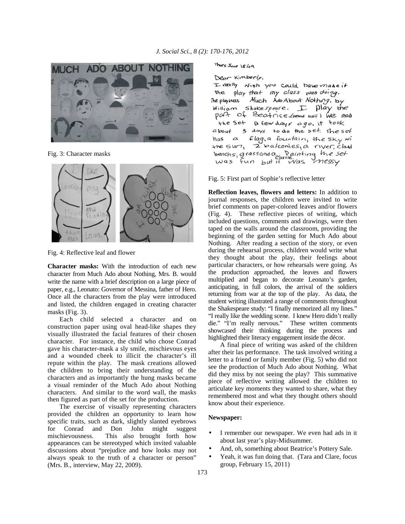

Fig. 3: Character masks



Fig. 4: Reflective leaf and flower

**Character masks:** With the introduction of each new character from Much Ado about Nothing, Mrs. B. would write the name with a brief description on a large piece of paper, e.g., Leonato: Governor of Messina, father of Hero. Once all the characters from the play were introduced and listed, the children engaged in creating character masks (Fig. 3).

 Each child selected a character and on construction paper using oval head-like shapes they visually illustrated the facial features of their chosen character. For instance, the child who chose Conrad gave his character-mask a sly smile, mischievous eyes and a wounded cheek to illicit the character's ill repute within the play. The mask creations allowed the children to bring their understanding of the characters and as importantly the hung masks became a visual reminder of the Much Ado about Nothing characters. And similar to the word wall, the masks then figured as part of the set for the production.

 The exercise of visually representing characters provided the children an opportunity to learn how specific traits, such as dark, slightly slanted eyebrows for Conrad and Don John might suggest mischievousness. This also brought forth how appearances can be stereotyped which invited valuable discussions about "prejudice and how looks may not always speak to the truth of a character or person" (Mrs. B., interview, May 22, 2009).

# Thurs June 18/09

Dear Kimberly,

I really wish you could have made it play that my class was doing. the Much AdoAbout Nothing, by The playmas shakespeare. I play the William part of Beatrice (some note) we mad a few days ago, it took the Set about 3 days to do the set. The set flag, a fountain, the sky wi  $\alpha$ has  $xhe \nSUT$ 2 balconies, a river, claud benchs, grassanda, Dainting the set

Fig. 5: First part of Sophie's reflective letter

**Reflection leaves, flowers and letters:** In addition to journal responses, the children were invited to write brief comments on paper-colored leaves and/or flowers (Fig. 4). These reflective pieces of writing, which included questions, comments and drawings, were then taped on the walls around the classroom, providing the beginning of the garden setting for Much Ado about Nothing. After reading a section of the story, or even during the rehearsal process, children would write what they thought about the play, their feelings about particular characters, or how rehearsals were going. As the production approached, the leaves and flowers multiplied and began to decorate Leonato's garden, anticipating, in full colors, the arrival of the soldiers returning from war at the top of the play. As data, the student writing illustrated a range of comments throughout the Shakespeare study: "I finally memorized all my lines." "I really like the wedding scene. I knew Hero didn't really die." "I'm really nervous." These written comments showcased their thinking during the process and highlighted their literacy engagement inside the décor.

 A final piece of writing was asked of the children after their las performance. The task involved writing a letter to a friend or family member (Fig. 5) who did not see the production of Much Ado about Nothing. What did they miss by not seeing the play? This summative piece of reflective writing allowed the children to articulate key moments they wanted to share, what they remembered most and what they thought others should know about their experience.

## **Newspaper:**

- I remember our newspaper. We even had ads in it about last year's play-Midsummer.
- And, oh, something about Beatrice's Pottery Sale.
- Yeah, it was fun doing that. (Tara and Clare, focus group, February 15, 2011)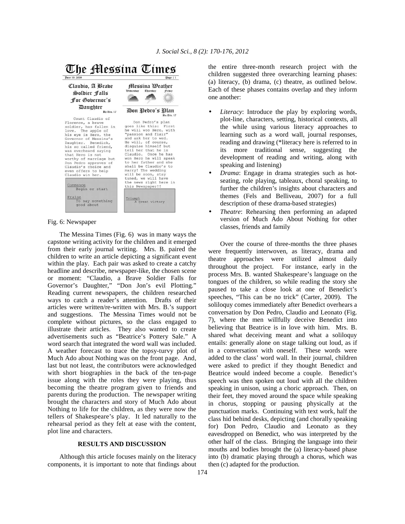

# Fig. 6: Newspaper

 The Messina Times (Fig. 6) was in many ways the capstone writing activity for the children and it emerged from their early journal writing. Mrs. B. paired the children to write an article depicting a significant event within the play. Each pair was asked to create a catchy headline and describe, newspaper-like, the chosen scene or moment: "Claudio, a Brave Soldier Falls for Governor's Daughter," "Don Jon's evil Plotting." Reading current newspapers, the children researched ways to catch a reader's attention. Drafts of their articles were written/re-written with Mrs. B.'s support and suggestions. The Messina Times would not be complete without pictures, so the class engaged to illustrate their articles. They also wanted to create advertisements such as "Beatrice's Pottery Sale." A word search that integrated the word wall was included. A weather forecast to trace the topsy-turvy plot of Much Ado about Nothing was on the front page. And, last but not least, the contributors were acknowledged with short biographies in the back of the ten-page issue along with the roles they were playing, thus becoming the theatre program given to friends and parents during the production. The newspaper writing brought the characters and story of Much Ado about Nothing to life for the children, as they were now the tellers of Shakespeare's play. It led naturally to the rehearsal period as they felt at ease with the content, plot line and characters.

## **RESULTS AND DISCUSSION**

 Although this article focuses mainly on the literacy components, it is important to note that findings about the entire three-month research project with the children suggested three overarching learning phases: (a) literacy, (b) drama, (c) theatre, as outlined below. Each of these phases contains overlap and they inform one another:

- Literacy: Introduce the play by exploring words, plot-line, characters, setting, historical contexts, all the while using various literacy approaches to learning such as a word wall, journal responses, reading and drawing (\*literacy here is referred to in its more traditional sense, suggesting the development of reading and writing, along with speaking and listening)
- *Drama*: Engage in drama strategies such as hotseating, role playing, tableaux, choral speaking, to further the children's insights about characters and themes (Fels and Belliveau, 2007) for a full description of these drama-based strategies)
- *Theatre:* Rehearsing then performing an adapted version of Much Ado About Nothing for other classes, friends and family

 Over the course of three-months the three phases were frequently interwoven, as literacy, drama and theatre approaches were utilized almost daily throughout the project. For instance, early in the process Mrs. B. wanted Shakespeare's language on the tongues of the children, so while reading the story she paused to take a close look at one of Benedict's speeches, "This can be no trick" (Carter, 2009). The soliloquy comes immediately after Benedict overhears a conversation by Don Pedro, Claudio and Leonato (Fig. 7), where the men willfully deceive Benedict into believing that Beatrice is in love with him. Mrs. B. shared what deceiving meant and what a soliloquy entails: generally alone on stage talking out loud, as if in a conversation with oneself. These words were added to the class' word wall. In their journal, children were asked to predict if they thought Benedict and Beatrice would indeed become a couple. Benedict's speech was then spoken out loud with all the children speaking in unison, using a choric approach. Then, on their feet, they moved around the space while speaking in chorus, stopping or pausing physically at the punctuation marks. Continuing with text work, half the class hid behind desks, depicting (and chorally speaking for) Don Pedro, Claudio and Leonato as they eavesdropped on Benedict, who was interpreted by the other half of the class. Bringing the language into their mouths and bodies brought the (a) literacy-based phase into (b) dramatic playing through a chorus, which was then (c) adapted for the production.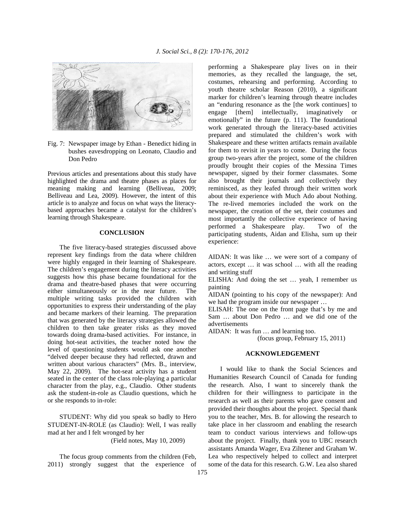

Fig. 7: Newspaper image by Ethan - Benedict hiding in bushes eavesdropping on Leonato, Claudio and Don Pedro

Previous articles and presentations about this study have highlighted the drama and theatre phases as places for meaning making and learning (Belliveau, 2009; Belliveau and Lea, 2009). However, the intent of this article is to analyze and focus on what ways the literacybased approaches became a catalyst for the children's learning through Shakespeare.

### **CONCLUSION**

 The five literacy-based strategies discussed above represent key findings from the data where children were highly engaged in their learning of Shakespeare. The children's engagement during the literacy activities suggests how this phase became foundational for the drama and theatre-based phases that were occurring either simultaneously or in the near future. The multiple writing tasks provided the children with opportunities to express their understanding of the play and became markers of their learning. The preparation that was generated by the literacy strategies allowed the children to then take greater risks as they moved towards doing drama-based activities. For instance, in doing hot-seat activities, the teacher noted how the level of questioning students would ask one another "delved deeper because they had reflected, drawn and written about various characters" (Mrs. B., interview, May 22, 2009). The hot-seat activity has a student seated in the center of the class role-playing a particular character from the play, e.g., Claudio. Other students ask the student-in-role as Claudio questions, which he or she responds to in-role:

 STUDENT: Why did you speak so badly to Hero STUDENT-IN-ROLE (as Claudio): Well, I was really mad at her and I felt wronged by her

(Field notes, May 10, 2009)

 The focus group comments from the children (Feb, 2011) strongly suggest that the experience of performing a Shakespeare play lives on in their memories, as they recalled the language, the set, costumes, rehearsing and performing. According to youth theatre scholar Reason (2010), a significant marker for children's learning through theatre includes an "enduring resonance as the [the work continues] to engage [them] intellectually, imaginatively or emotionally" in the future (p. 111). The foundational work generated through the literacy-based activities prepared and stimulated the children's work with Shakespeare and these written artifacts remain available for them to revisit in years to come. During the focus group two-years after the project, some of the children proudly brought their copies of the Messina Times newspaper, signed by their former classmates. Some also brought their journals and collectively they reminisced, as they leafed through their written work about their experience with Much Ado about Nothing. The re-lived memories included the work on the newspaper, the creation of the set, their costumes and most importantly the collective experience of having performed a Shakespeare play. Two of the participating students, Aidan and Elisha, sum up their experience:

AIDAN: It was like … we were sort of a company of actors, except … it was school … with all the reading and writing stuff

ELISHA: And doing the set … yeah, I remember us painting

AIDAN (pointing to his copy of the newspaper): And we had the program inside our newspaper …

ELISAH: The one on the front page that's by me and Sam … about Don Pedro … and we did one of the advertisements

AIDAN: It was fun … and learning too.

(focus group, February 15, 2011)

## **ACKNOWLEDGEMENT**

 I would like to thank the Social Sciences and Humanities Research Council of Canada for funding the research. Also, I want to sincerely thank the children for their willingness to participate in the research as well as their parents who gave consent and provided their thoughts about the project. Special thank you to the teacher, Mrs. B. for allowing the research to take place in her classroom and enabling the research team to conduct various interviews and follow-ups about the project. Finally, thank you to UBC research assistants Amanda Wager, Eva Ziltener and Graham W. Lea who respectively helped to collect and interpret some of the data for this research. G.W. Lea also shared